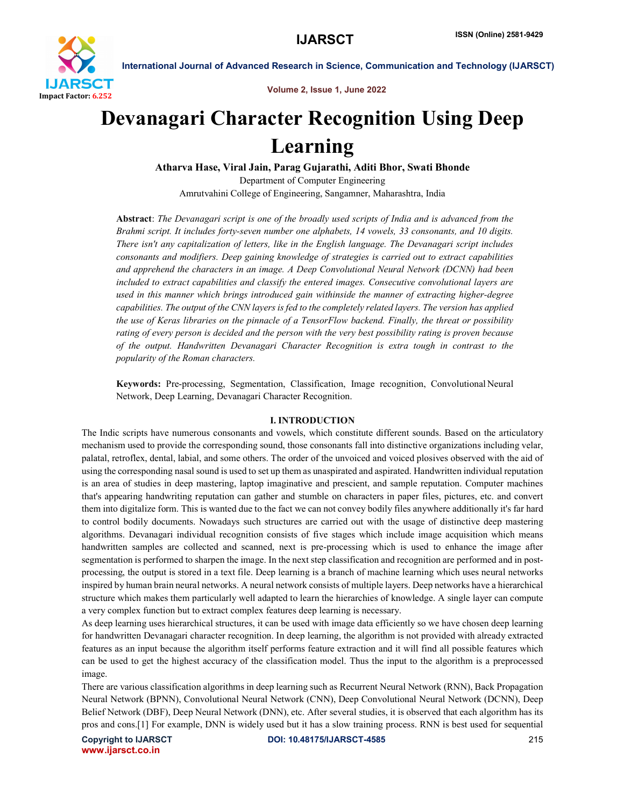

Volume 2, Issue 1, June 2022

# Devanagari Character Recognition Using Deep Learning

Atharva Hase, Viral Jain, Parag Gujarathi, Aditi Bhor, Swati Bhonde Department of Computer Engineering Amrutvahini College of Engineering, Sangamner, Maharashtra, India

Abstract: *The Devanagari script is one of the broadly used scripts of India and is advanced from the Brahmi script. It includes forty-seven number one alphabets, 14 vowels, 33 consonants, and 10 digits. There isn't any capitalization of letters, like in the English language. The Devanagari script includes consonants and modifiers. Deep gaining knowledge of strategies is carried out to extract capabilities and apprehend the characters in an image. A Deep Convolutional Neural Network (DCNN) had been included to extract capabilities and classify the entered images. Consecutive convolutional layers are used in this manner which brings introduced gain withinside the manner of extracting higher-degree capabilities. The output of the CNN layers is fed to the completely related layers. The version has applied the use of Keras libraries on the pinnacle of a TensorFlow backend. Finally, the threat or possibility rating of every person is decided and the person with the very best possibility rating is proven because of the output. Handwritten Devanagari Character Recognition is extra tough in contrast to the popularity of the Roman characters.*

Keywords: Pre-processing, Segmentation, Classification, Image recognition, Convolutional Neural Network, Deep Learning, Devanagari Character Recognition.

# I. INTRODUCTION

The Indic scripts have numerous consonants and vowels, which constitute different sounds. Based on the articulatory mechanism used to provide the corresponding sound, those consonants fall into distinctive organizations including velar, palatal, retroflex, dental, labial, and some others. The order of the unvoiced and voiced plosives observed with the aid of using the corresponding nasal sound is used to set up them as unaspirated and aspirated. Handwritten individual reputation is an area of studies in deep mastering, laptop imaginative and prescient, and sample reputation. Computer machines that's appearing handwriting reputation can gather and stumble on characters in paper files, pictures, etc. and convert them into digitalize form. This is wanted due to the fact we can not convey bodily files anywhere additionally it's far hard to control bodily documents. Nowadays such structures are carried out with the usage of distinctive deep mastering algorithms. Devanagari individual recognition consists of five stages which include image acquisition which means handwritten samples are collected and scanned, next is pre-processing which is used to enhance the image after segmentation is performed to sharpen the image. In the next step classification and recognition are performed and in postprocessing, the output is stored in a text file. Deep learning is a branch of machine learning which uses neural networks inspired by human brain neural networks. A neural network consists of multiple layers. Deep networks have a hierarchical structure which makes them particularly well adapted to learn the hierarchies of knowledge. A single layer can compute a very complex function but to extract complex features deep learning is necessary.

As deep learning uses hierarchical structures, it can be used with image data efficiently so we have chosen deep learning for handwritten Devanagari character recognition. In deep learning, the algorithm is not provided with already extracted features as an input because the algorithm itself performs feature extraction and it will find all possible features which can be used to get the highest accuracy of the classification model. Thus the input to the algorithm is a preprocessed image.

There are various classification algorithms in deep learning such as Recurrent Neural Network (RNN), Back Propagation Neural Network (BPNN), Convolutional Neural Network (CNN), Deep Convolutional Neural Network (DCNN), Deep Belief Network (DBF), Deep Neural Network (DNN), etc. After several studies, it is observed that each algorithm has its pros and cons.[1] For example, DNN is widely used but it has a slow training process. RNN is best used for sequential

www.ijarsct.co.in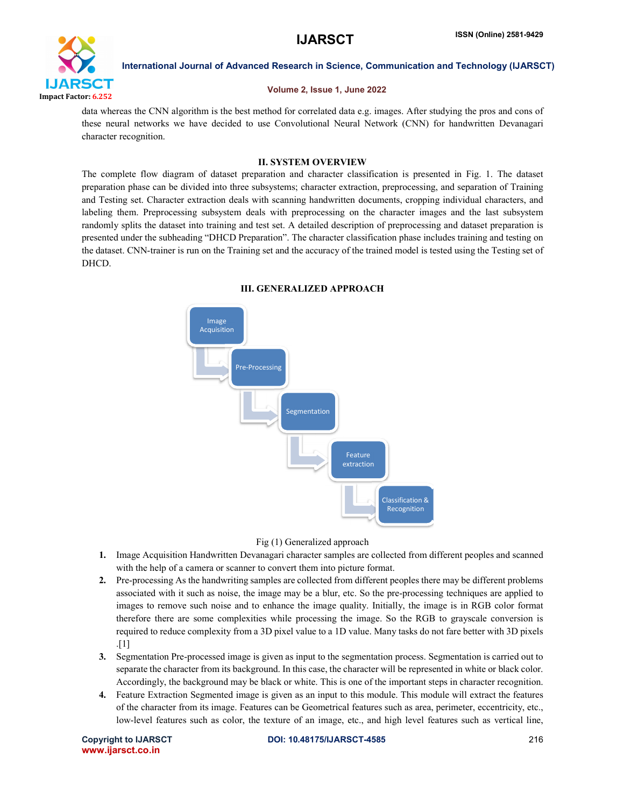

# Volume 2, Issue 1, June 2022

data whereas the CNN algorithm is the best method for correlated data e.g. images. After studying the pros and cons of these neural networks we have decided to use Convolutional Neural Network (CNN) for handwritten Devanagari character recognition.

# II. SYSTEM OVERVIEW

The complete flow diagram of dataset preparation and character classification is presented in Fig. 1. The dataset preparation phase can be divided into three subsystems; character extraction, preprocessing, and separation of Training and Testing set. Character extraction deals with scanning handwritten documents, cropping individual characters, and labeling them. Preprocessing subsystem deals with preprocessing on the character images and the last subsystem randomly splits the dataset into training and test set. A detailed description of preprocessing and dataset preparation is presented under the subheading "DHCD Preparation". The character classification phase includes training and testing on the dataset. CNN-trainer is run on the Training set and the accuracy of the trained model is tested using the Testing set of DHCD.



# III. GENERALIZED APPROACH

Fig (1) Generalized approach

- 1. Image Acquisition Handwritten Devanagari character samples are collected from different peoples and scanned with the help of a camera or scanner to convert them into picture format.
- 2. Pre-processing As the handwriting samples are collected from different peoples there may be different problems associated with it such as noise, the image may be a blur, etc. So the pre-processing techniques are applied to images to remove such noise and to enhance the image quality. Initially, the image is in RGB color format therefore there are some complexities while processing the image. So the RGB to grayscale conversion is required to reduce complexity from a 3D pixel value to a 1D value. Many tasks do not fare better with 3D pixels .[1]
- 3. Segmentation Pre-processed image is given as input to the segmentation process. Segmentation is carried out to separate the character from its background. In this case, the character will be represented in white or black color. Accordingly, the background may be black or white. This is one of the important steps in character recognition.
- 4. Feature Extraction Segmented image is given as an input to this module. This module will extract the features of the character from its image. Features can be Geometrical features such as area, perimeter, eccentricity, etc., low-level features such as color, the texture of an image, etc., and high level features such as vertical line,

www.ijarsct.co.in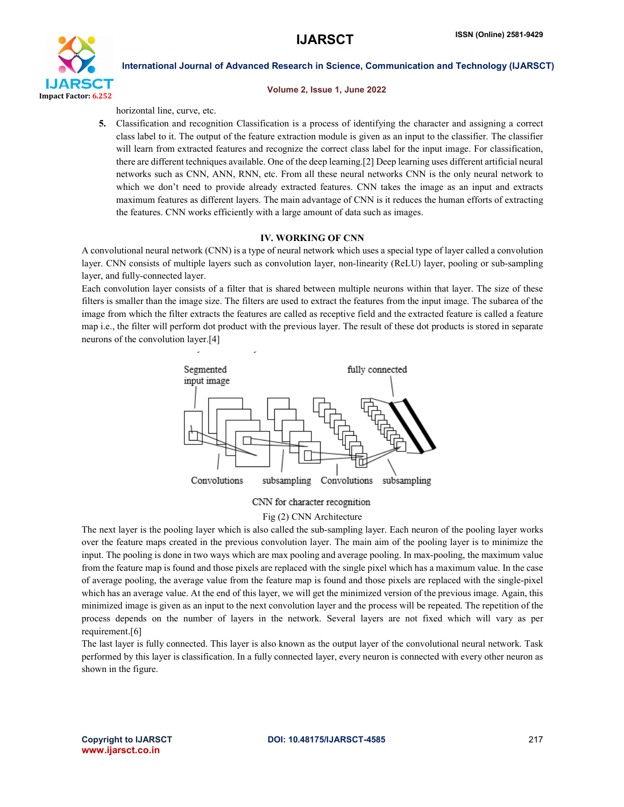

#### Volume 2, Issue 1, June 2022

horizontal line, curve, etc.

5. Classification and recognition Classification is a process of identifying the character and assigning a correct class label to it. The output of the feature extraction module is given as an input to the classifier. The classifier will learn from extracted features and recognize the correct class label for the input image. For classification, there are different techniques available. One of the deep learning.[2] Deep learning uses different artificial neural networks such as CNN, ANN, RNN, etc. From all these neural networks CNN is the only neural network to which we don't need to provide already extracted features. CNN takes the image as an input and extracts maximum features as different layers. The main advantage of CNN is it reduces the human efforts of extracting the features. CNN works efficiently with a large amount of data such as images.

### IV. WORKING OF CNN

A convolutional neural network (CNN) is a type of neural network which uses a special type of layer called a convolution layer. CNN consists of multiple layers such as convolution layer, non-linearity (ReLU) layer, pooling or sub-sampling layer, and fully-connected layer.

Each convolution layer consists of a filter that is shared between multiple neurons within that layer. The size of these filters is smaller than the image size. The filters are used to extract the features from the input image. The subarea of the image from which the filter extracts the features are called as receptive field and the extracted feature is called a feature map i.e., the filter will perform dot product with the previous layer. The result of these dot products is stored in separate neurons of the convolution layer.[4]



#### CNN for character recognition

#### Fig (2) CNN Architecture

The next layer is the pooling layer which is also called the sub-sampling layer. Each neuron of the pooling layer works over the feature maps created in the previous convolution layer. The main aim of the pooling layer is to minimize the input. The pooling is done in two ways which are max pooling and average pooling. In max-pooling, the maximum value from the feature map is found and those pixels are replaced with the single pixel which has a maximum value. In the case of average pooling, the average value from the feature map is found and those pixels are replaced with the single-pixel which has an average value. At the end of this layer, we will get the minimized version of the previous image. Again, this minimized image is given as an input to the next convolution layer and the process will be repeated. The repetition of the process depends on the number of layers in the network. Several layers are not fixed which will vary as per requirement.[6]

The last layer is fully connected. This layer is also known as the output layer of the convolutional neural network. Task performed by this layer is classification. In a fully connected layer, every neuron is connected with every other neuron as shown in the figure.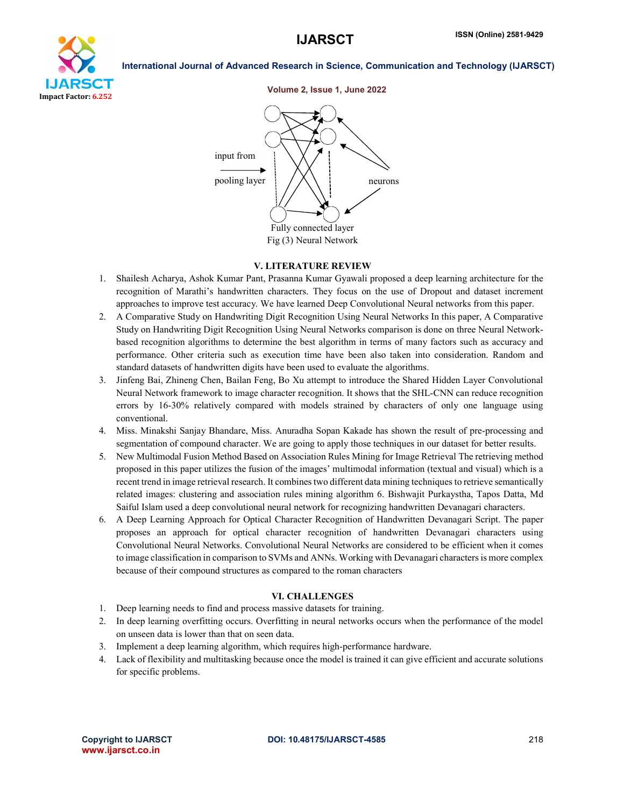





#### V. LITERATURE REVIEW

- 1. Shailesh Acharya, Ashok Kumar Pant, Prasanna Kumar Gyawali proposed a deep learning architecture for the recognition of Marathi's handwritten characters. They focus on the use of Dropout and dataset increment approaches to improve test accuracy. We have learned Deep Convolutional Neural networks from this paper.
- 2. A Comparative Study on Handwriting Digit Recognition Using Neural Networks In this paper, A Comparative Study on Handwriting Digit Recognition Using Neural Networks comparison is done on three Neural Networkbased recognition algorithms to determine the best algorithm in terms of many factors such as accuracy and performance. Other criteria such as execution time have been also taken into consideration. Random and standard datasets of handwritten digits have been used to evaluate the algorithms.
- 3. Jinfeng Bai, Zhineng Chen, Bailan Feng, Bo Xu attempt to introduce the Shared Hidden Layer Convolutional Neural Network framework to image character recognition. It shows that the SHL-CNN can reduce recognition errors by 16-30% relatively compared with models strained by characters of only one language using conventional.
- 4. Miss. Minakshi Sanjay Bhandare, Miss. Anuradha Sopan Kakade has shown the result of pre-processing and segmentation of compound character. We are going to apply those techniques in our dataset for better results.
- 5. New Multimodal Fusion Method Based on Association Rules Mining for Image Retrieval The retrieving method proposed in this paper utilizes the fusion of the images' multimodal information (textual and visual) which is a recent trend in image retrieval research. It combines two different data mining techniques to retrieve semantically related images: clustering and association rules mining algorithm 6. Bishwajit Purkaystha, Tapos Datta, Md Saiful Islam used a deep convolutional neural network for recognizing handwritten Devanagari characters.
- 6. A Deep Learning Approach for Optical Character Recognition of Handwritten Devanagari Script. The paper proposes an approach for optical character recognition of handwritten Devanagari characters using Convolutional Neural Networks. Convolutional Neural Networks are considered to be efficient when it comes to image classification in comparison to SVMs and ANNs. Working with Devanagari characters is more complex because of their compound structures as compared to the roman characters

#### VI. CHALLENGES

- 1. Deep learning needs to find and process massive datasets for training.
- 2. In deep learning overfitting occurs. Overfitting in neural networks occurs when the performance of the model on unseen data is lower than that on seen data.
- 3. Implement a deep learning algorithm, which requires high-performance hardware.
- 4. Lack of flexibility and multitasking because once the model is trained it can give efficient and accurate solutions for specific problems.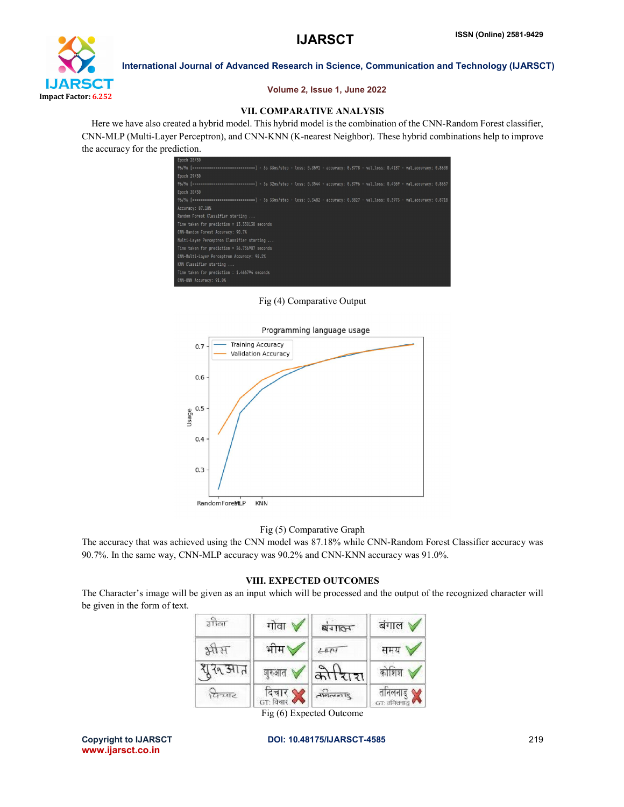

### Volume 2, Issue 1, June 2022

# VII. COMPARATIVE ANALYSIS

 Here we have also created a hybrid model. This hybrid model is the combination of the CNN-Random Forest classifier, CNN-MLP (Multi-Layer Perceptron), and CNN-KNN (K-nearest Neighbor). These hybrid combinations help to improve the accuracy for the prediction.



Fig (4) Comparative Output



### Fig (5) Comparative Graph

The accuracy that was achieved using the CNN model was 87.18% while CNN-Random Forest Classifier accuracy was 90.7%. In the same way, CNN-MLP accuracy was 90.2% and CNN-KNN accuracy was 91.0%.

### VIII. EXPECTED OUTCOMES

The Character's image will be given as an input which will be processed and the output of the recognized character will be given in the form of text.

| उत्तिला | गोवा                                                         | <b>SAIRA</b>              | बंगाल ∀                        |
|---------|--------------------------------------------------------------|---------------------------|--------------------------------|
| HHE     | भीम                                                          | 404                       | समय                            |
| युरु आत | शुरुआत '                                                     | कोरिाश                    | $\frac{1}{2}$ कोशिश $\sqrt{2}$ |
| पिच्याट | दिचार $\bm{\mathsf{M}}$<br>$G$ ाः विचार $\blacktriangleleft$ | $\frac{\Omega}{\sqrt{2}}$ | तनिलनाडु '<br>GT: तमिलनाडु     |

Fig (6) Expected Outcome

www.ijarsct.co.in

#### Copyright to IJARSCT **DOI: 10.48175/IJARSCT-4585** 219